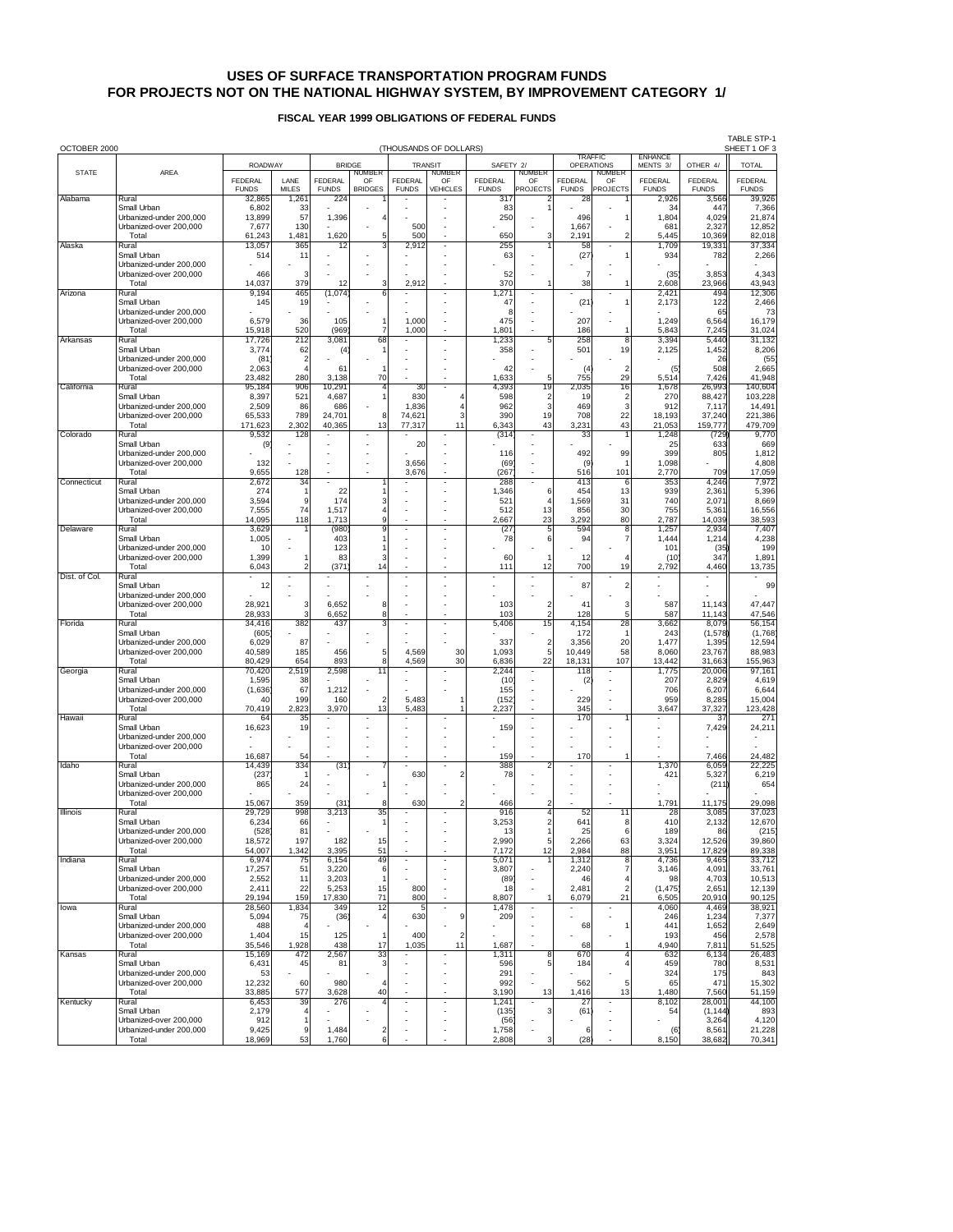# **USES OF SURFACE TRANSPORTATION PROGRAM FUNDS FOR PROJECTS NOT ON THE NATIONAL HIGHWAY SYSTEM, BY IMPROVEMENT CATEGORY 1/**

## **FISCAL YEAR 1999 OBLIGATIONS OF FEDERAL FUNDS**

| OCTOBER 2000<br>(THOUSANDS OF DOLLARS) |                                                   |                   |                                  |                          |                     |                          |                                                      |                            |                               |                      | <b>TABLE STP-1</b><br>SHEET 1 OF 3  |                            |                    |                    |
|----------------------------------------|---------------------------------------------------|-------------------|----------------------------------|--------------------------|---------------------|--------------------------|------------------------------------------------------|----------------------------|-------------------------------|----------------------|-------------------------------------|----------------------------|--------------------|--------------------|
|                                        | <b>ROADWAY</b>                                    |                   |                                  | <b>BRIDGE</b>            |                     |                          | <b>TRANSIT</b>                                       | SAFETY 2/                  |                               |                      | <b>TRAFFIC</b><br><b>OPERATIONS</b> | <b>FNHANCF</b><br>MENTS 3/ | OTHER 4/           | <b>TOTAL</b>       |
| <b>STATE</b>                           | AREA                                              | <b>FEDERAL</b>    | LANE                             | <b>FEDERAL</b>           | <b>NUMBER</b><br>OF | <b>FEDERAL</b>           | <b>NUMBER</b><br>OF                                  | <b>FEDERAL</b>             | <b>NUMBER</b><br>OF           | <b>FEDERAL</b>       | <b>NUMBER</b><br>OF                 | <b>FEDERAL</b>             | <b>FEDERAL</b>     | <b>FEDERAL</b>     |
|                                        |                                                   | <b>FUNDS</b>      | <b>MILES</b>                     | <b>FUNDS</b>             | <b>BRIDGES</b>      | <b>FUNDS</b>             | VEHICLES                                             | <b>FUNDS</b>               | <b>PROJECTS</b>               | <b>FUNDS</b>         | <b>PROJECTS</b>                     | <b>FUNDS</b>               | <b>FUNDS</b>       | <b>FUNDS</b>       |
| Alabama                                | Rural<br>Small Urban                              | 32,865<br>6,802   | 1,261<br>33                      | 224                      |                     |                          |                                                      | 317<br>83                  |                               | 28                   |                                     | 2,926<br>34                | 3,566<br>447       | 39,926<br>7,366    |
|                                        | Urbanized-under 200,000                           | 13,899            | 57                               | 1,396                    |                     |                          |                                                      | 250                        |                               | 496                  |                                     | 1,804                      | 4,029              | 21,874             |
|                                        | Urbanized-over 200,000<br>Total                   | 7,677<br>61,243   | 130<br>1,481                     | 1,620                    | 5                   | 500<br>500               |                                                      | 650                        | 3                             | 1,667<br>2,191       | 2                                   | 681<br>5,445               | 2,327<br>10,369    | 12,852<br>82,018   |
| Alaska                                 | Rural<br>Small Urban                              | 13,057            | 365                              | 12                       |                     | 2,912                    |                                                      | 255                        |                               | 58                   |                                     | 1,709                      | 19,331             | 37,334             |
|                                        | Urbanized-under 200,000                           | 514               | 11                               |                          |                     |                          |                                                      | 63                         |                               | (27)                 |                                     | 934                        | 782                | 2,266              |
|                                        | Urbanized-over 200,000<br>Total                   | 466<br>14,037     | 3<br>379                         | 12                       | 3                   | 2,912                    |                                                      | 52<br>370                  |                               | $\overline{7}$<br>38 |                                     | (35)<br>2,608              | 3,853<br>23,966    | 4,343<br>43,943    |
| Arizona                                | Rural                                             | 9,194             | 465                              | (1,074)                  | 6                   |                          |                                                      | 1,27'                      |                               |                      |                                     | 2,421                      | 494                | 12,306             |
|                                        | Small Urban<br>Urbanized-under 200.000            | 145               | 19                               |                          |                     |                          |                                                      | 47<br>8                    |                               | (21)                 |                                     | 2,173                      | 122<br>65          | 2,466<br>73        |
|                                        | Urbanized-over 200,000                            | 6,579             | 36                               | 105                      |                     | 1,000                    |                                                      | 475                        |                               | 207                  |                                     | 1,249                      | 6,564              | 16,179             |
| Arkansas                               | Total<br>Rural                                    | 15,918<br>17,726  | 520<br>212                       | (969<br>3,081            | 68                  | 1,000                    |                                                      | 1,801<br>1,233             | 5                             | 186<br>258           | 8                                   | 5,843<br>3,394             | 7,245<br>5,440     | 31,024<br>31,132   |
|                                        | Small Urban                                       | 3,774             | 62                               | (4)                      |                     |                          |                                                      | 358                        |                               | 501                  | 19                                  | 2,125                      | 1,452              | 8,206              |
|                                        | Urbanized-under 200,000<br>Urbanized-over 200,000 | (81)<br>2,063     | $\overline{2}$<br>$\overline{4}$ | 61                       |                     |                          |                                                      | 42                         |                               | (4)                  | $\overline{2}$                      | (5)                        | 26<br>508          | (55)<br>2,665      |
|                                        | Total                                             | 23,482            | 280                              | 3,138                    | 70                  |                          |                                                      | 1.633                      | 5                             | 755                  | 29                                  | 5,514                      | 7,426              | 41,948             |
| California                             | Rural<br>Small Urban                              | 95,184<br>8,397   | 906<br>521                       | 10,291<br>4,687          | 4<br>1              | 30<br>830                |                                                      | $\overline{4}$ ,393<br>598 | 19<br>$\overline{\mathbf{c}}$ | 2,035<br>19          | 16<br>$\overline{\mathbf{c}}$       | 1,678<br>270               | 26,993<br>88,427   | 140,604<br>103,228 |
|                                        | Urbanized-under 200,000                           | 2,509             | 86                               | 686                      | 8                   | 1,836                    | 3                                                    | 962                        | 3<br>19                       | 469                  | 3<br>22                             | 912                        | 7,117              | 14,491             |
|                                        | Urbanized-over 200,000<br>Total                   | 65,533<br>171,623 | 789<br>2,302                     | 24,701<br>40,365         | 13                  | 74,621<br>77,317         | 11                                                   | 390<br>6,343               | 43                            | 708<br>3,231         | 43                                  | 18,193<br>21,053           | 37,240<br>159,777  | 221,386<br>479,709 |
| Colorado                               | Rural<br>Small Urban                              | 9,532             | 128                              |                          |                     |                          |                                                      | (314)                      |                               | 33                   |                                     | 1,248<br>25                | (729<br>633        | 9,770              |
|                                        | Urbanized-under 200,000                           | (9)               |                                  |                          |                     | 20                       |                                                      | 116                        |                               | 492                  | 99                                  | 399                        | 805                | 669<br>1,812       |
|                                        | Urbanized-over 200,000<br>Total                   | 132               | 128                              | J.                       |                     | 3,656                    |                                                      | (69)                       |                               | (9)<br>516           | 101                                 | 1,098                      | 709                | 4,808              |
| Connecticut                            | Rural                                             | 9,655<br>2,672    | 34                               | $\overline{\phantom{a}}$ |                     | 3,676                    |                                                      | (267)<br>288               |                               | 413                  | 6                                   | 2,770<br>353               | 4,246              | 17,059<br>7,972    |
|                                        | Small Urban<br>Urbanized-under 200,000            | 274<br>3,594      | 1<br>9                           | 22<br>174                | 3                   |                          |                                                      | 1,346<br>521               | 6                             | 454<br>1,569         | 13<br>31                            | 939<br>740                 | 2,361<br>2,071     | 5,396<br>8,669     |
|                                        | Urbanized-over 200,000                            | 7,555             | 74                               | 1,517                    | 4                   |                          |                                                      | 512                        | 13                            | 856                  | 30                                  | 755                        | 5,361              | 16,556             |
| Delaware                               | Total<br>Rural                                    | 14,095<br>3,629   | 118                              | 1,713<br>(980)           | 9<br>9              |                          |                                                      | 2,667<br>(27)              | 23<br>5                       | 3,292<br>594         | 80<br>8                             | 2,787<br>1,257             | 14,039<br>2,934    | 38,593<br>7,407    |
|                                        | Small Urban                                       | 1,005             |                                  | 403                      |                     |                          |                                                      | 78                         | 6                             | 94                   | $\overline{7}$                      | 1,444                      | 1,214              | 4,238              |
|                                        | Urbanized-under 200.000<br>Urbanized-over 200,000 | 10<br>1,399       |                                  | 123<br>83                | 3                   |                          |                                                      | 60                         | $\overline{1}$                | 12                   |                                     | 101<br>(10)                | (35)<br>347        | 199<br>1,891       |
|                                        | Total                                             | 6,043             | $\overline{2}$                   | (371)                    | 14                  |                          |                                                      | 111                        | 12                            | 700                  | 19                                  | 2,792                      | 4,460              | 13,735             |
| Dist. of Col.                          | Rural<br>Small Urban                              | 12                |                                  |                          |                     |                          |                                                      |                            |                               | 87                   | $\mathfrak{p}$                      |                            |                    | 99                 |
|                                        | Urbanized-under 200,000                           |                   |                                  |                          |                     |                          |                                                      |                            |                               |                      |                                     |                            |                    |                    |
|                                        | Urbanized-over 200,000<br>Total                   | 28,921<br>28,933  | 3<br>3                           | 6,652<br>6,652           | 8<br>8              |                          |                                                      | 103<br>103                 | 2<br>$\overline{2}$           | 41<br>128            | 3<br>5                              | 587<br>587                 | 11,143<br>11,143   | 47,447<br>47,546   |
| Florida                                | Rural                                             | 34,416            | 382                              | 437                      |                     |                          |                                                      | 5,406                      | $\overline{15}$               | 4,154                | 28                                  | 3,662                      | 8,079              | 56,154             |
|                                        | Small Urban<br>Urbanized-under 200,000            | (605)<br>6,029    | 87                               |                          |                     |                          |                                                      | 337                        | $\overline{\mathbf{c}}$       | 172<br>3,356         | 20                                  | 243<br>1,477               | (1,578)<br>1,395   | (1,768)<br>12,594  |
|                                        | Urbanized-over 200,000<br>Total                   | 40,589            | 185<br>654                       | 456<br>893               | 5<br>8              | 4,569<br>4,569           | 30<br>30                                             | 1,093                      | 5<br>22                       | 10,449               | 58<br>107                           | 8,060<br>13,442            | 23,767             | 88,983             |
| Georgia                                | Rural                                             | 80,429<br>70,420  | 2,519                            | 2,598                    | 11                  |                          |                                                      | 6,836<br>2,244             |                               | 18,131<br>118        |                                     | 1,775                      | 31,663<br>20,006   | 155,963<br>97,161  |
|                                        | Small Urban<br>Urbanized-under 200,000            | 1,595<br>(1,636)  | 38<br>67                         | 1,212                    |                     |                          |                                                      | (10)<br>155                |                               | (2)                  |                                     | 207<br>706                 | 2,829<br>6,207     | 4,619<br>6,644     |
|                                        | Urbanized-over 200,000                            | 40                | 199                              | 160                      | $\overline{2}$      | 5,483                    |                                                      | (152)                      |                               | 229                  |                                     | 959                        | 8,285              | 15,004             |
| Hawaii                                 | Total<br>Rural                                    | 70,419<br>64      | 2,823<br>35                      | 3,970                    | 13                  | 5,483                    |                                                      | 2,237                      |                               | 345<br>170           |                                     | 3,647                      | 37,327<br>37       | 123,428<br>271     |
|                                        | Small Urban                                       | 16,623            | 19                               |                          |                     |                          |                                                      | 159                        |                               |                      |                                     |                            | 7,429              | 24,211             |
|                                        | Urbanized-under 200,000<br>Urbanized-over 200,000 |                   |                                  |                          |                     |                          |                                                      |                            |                               |                      |                                     |                            |                    |                    |
|                                        | Total                                             | 16,687            | 54                               |                          |                     |                          |                                                      | 159                        |                               | 170                  |                                     |                            | 7,466              | 24,482             |
| Idaho                                  | Rural<br>Small Urban                              | 14,439<br>(237)   | 334                              | (31)                     |                     | 630                      | $\overline{2}$                                       | 388<br>78                  | 2                             |                      |                                     | 1,370<br>421               | 6,059<br>5,327     | 22,225<br>6,219    |
|                                        | Urbanized-under 200.000<br>Urbanized-over 200,000 | 865               | 24                               |                          |                     |                          |                                                      |                            |                               |                      |                                     |                            | (211)              | 654                |
|                                        | Total                                             | 15,067            | 359                              | (31                      | 8                   | 630                      | 2                                                    | 466                        |                               |                      |                                     | 1,791                      | 11,175             | 29,098             |
| Illinois                               | Rural<br>Small Urban                              | 29,729<br>6,234   | 998<br>66                        | 3,213                    | 35<br>1             |                          |                                                      | 916<br>3,253               | 4<br>$\overline{a}$           | 52<br>641            | 11<br>8                             | 28<br>410                  | 3,085<br>2,132     | 37,023<br>12,670   |
|                                        | Urbanized-under 200,000                           | (528)             | 81                               |                          |                     |                          |                                                      | 13                         |                               | 25                   | 6                                   | 189                        | 86                 | (215)              |
|                                        | Urbanized-over 200,000<br>Total                   | 18,572<br>54,007  | 197<br>1,342                     | 182<br>3,395             | 15<br>51            |                          |                                                      | 2,990<br>7,172             | 5<br>12                       | 2,266<br>2,984       | 63<br>88                            | 3,324<br>3,951             | 12,526<br>17,829   | 39,860<br>89,338   |
| Indiana                                | Rural                                             | 6,974             | 75                               | 6,154                    | 49                  | $\overline{\phantom{a}}$ | $\overline{a}$                                       | 5,071                      |                               | 1,312                | 8                                   | 4,736                      | 9,465              | 33,712             |
|                                        | Small Urban<br>Urbanized-under 200.000            | 17,257<br>2,552   | 51<br>11                         | 3,220<br>3,203           | 6<br>$\mathbf{1}$   |                          |                                                      | 3,807<br>(89)              |                               | 2,240<br>46          | $\overline{7}$<br>4                 | 3,146<br>98                | 4,091<br>4,703     | 33,761<br>10,513   |
|                                        | Urbanized-over 200,000                            | 2,411             | 22                               | 5,253                    | 15                  | 800                      |                                                      | 18                         |                               | 2,481                | $\overline{2}$                      | (1, 475)                   | 2,651              | 12,139             |
| lowa                                   | Total<br>Rural                                    | 29,194<br>28,560  | 159<br>1,834                     | 17,830<br>349            | 71<br>12            | 800<br>5                 | ÷,                                                   | 8,807<br>1,478             | 1<br>$\overline{\phantom{a}}$ | 6,079                | 21<br>٠                             | 6,505<br>4,060             | 20,910<br>4,469    | 90,125<br>38,921   |
|                                        | Small Urban<br>Urbanized-under 200.000            | 5,094             | 75                               | (36)                     | 4                   | 630                      | 9                                                    | 209                        |                               |                      |                                     | 246                        | 1,234              | 7,377              |
|                                        | Urbanized-over 200,000                            | 488<br>1,404      | 4<br>15                          | 125                      | 1                   | 400                      | $\overline{\mathbf{c}}$                              |                            |                               | 68                   | 1                                   | 441<br>193                 | 1,652<br>456       | 2,649<br>2,578     |
|                                        | Total                                             | 35,546            | 1,928                            | 438                      | 17                  | 1,035                    | 11                                                   | 1,687                      |                               | 68                   | 1                                   | 4,940                      | 7,811              | 51,525             |
| Kansas                                 | Rural<br>Small Urban                              | 15,169<br>6,431   | 472<br>45                        | 2,567<br>81              | 33<br>3             |                          |                                                      | 1,311<br>596               | 8<br>5                        | 670<br>184           | $\overline{4}$                      | 632<br>459                 | 6,134<br>780       | 26,483<br>8,531    |
|                                        | Urbanized-under 200,000<br>Urbanized-over 200,000 | 53<br>12,232      | 60                               | 980                      | 4                   |                          | $\overline{\phantom{a}}$                             | 291<br>992                 |                               | 562                  | 5                                   | 324                        | 175<br>471         | 843<br>15,302      |
|                                        | Total                                             | 33,885            | 577                              | 3,628                    | 40                  |                          | $\overline{\phantom{a}}$                             | 3,190                      | 13                            | 1,416                | 13                                  | 65<br>1,480                | 7,560              | 51,159             |
| Kentucky                               | Rural<br>Small Urban                              | 6,453<br>2,179    | 39<br>4                          | 276                      |                     | $\blacksquare$           | $\overline{\phantom{a}}$<br>$\overline{\phantom{a}}$ | 1,241<br>(135)             | 3                             | 27<br>(61)           |                                     | 8,102<br>54                | 28,001<br>(1, 144) | 44,100<br>893      |
|                                        | Urbanized-over 200,000                            | 912               | 1                                |                          |                     |                          | $\overline{\phantom{a}}$                             | (56)                       | ×,                            |                      |                                     |                            | 3,264              | 4,120              |
|                                        | Urbanized-under 200,000<br>Total                  | 9,425<br>18,969   | 9<br>53                          | 1,484<br>1,760           | $\frac{2}{6}$       |                          |                                                      | 1,758<br>2,808             | з                             | 6<br>(28)            |                                     | (6)<br>8,150               | 8,561<br>38,682    | 21,228<br>70,341   |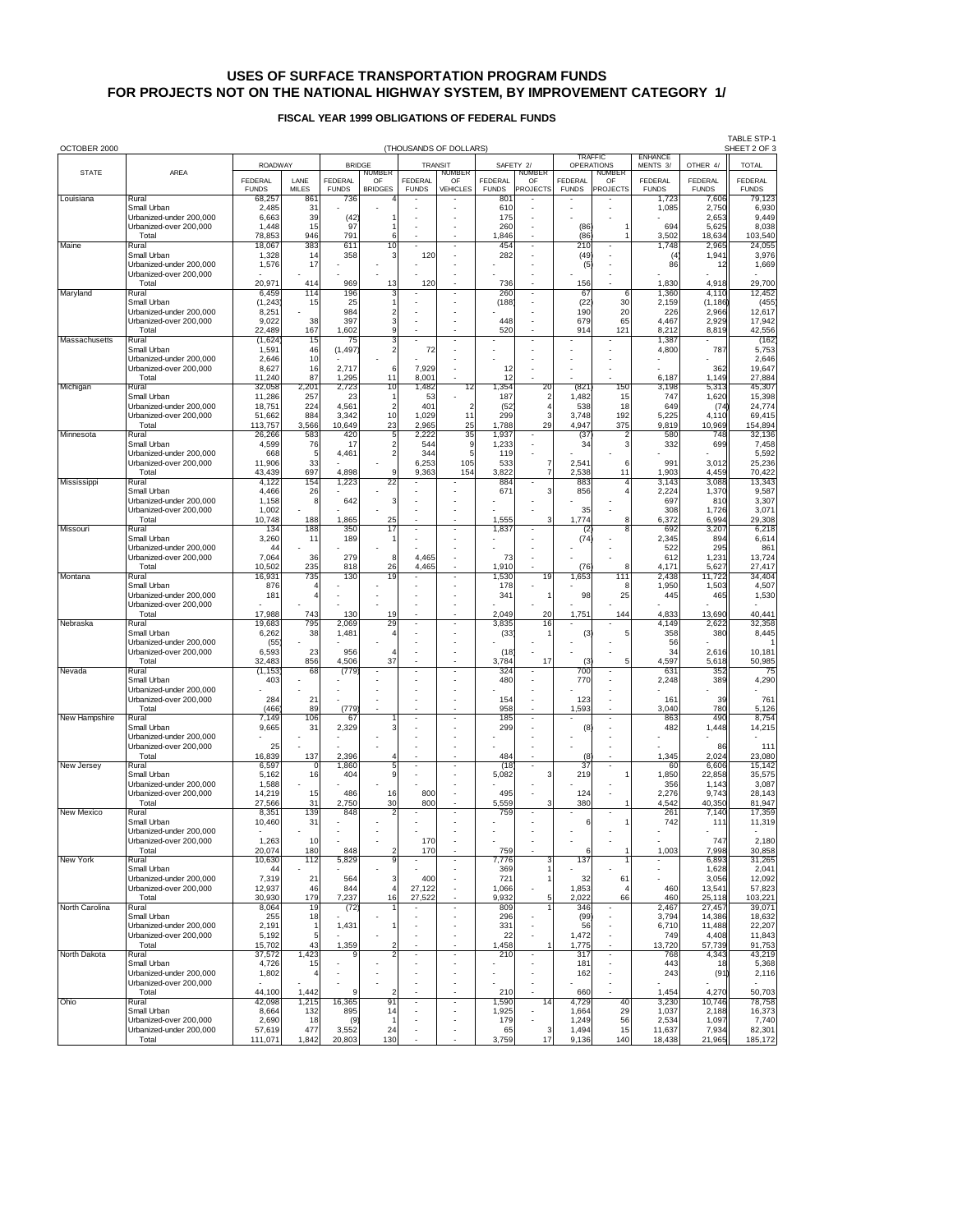# **USES OF SURFACE TRANSPORTATION PROGRAM FUNDS FOR PROJECTS NOT ON THE NATIONAL HIGHWAY SYSTEM, BY IMPROVEMENT CATEGORY 1/**

# **FISCAL YEAR 1999 OBLIGATIONS OF FEDERAL FUNDS**

| OCTOBER 2000   | (THOUSANDS OF DOLLARS)                            |                        |                     |                     |                                  |                          |                         |                     |                          |                                     | <b>TABLE STP-1</b><br>SHEET 2 OF 3 |                            |                        |                        |
|----------------|---------------------------------------------------|------------------------|---------------------|---------------------|----------------------------------|--------------------------|-------------------------|---------------------|--------------------------|-------------------------------------|------------------------------------|----------------------------|------------------------|------------------------|
|                | <b>ROADWAY</b>                                    |                        |                     | <b>BRIDGE</b>       |                                  | <b>TRANSIT</b>           |                         | SAFETY 2/           |                          | <b>TRAFFIC</b><br><b>OPERATIONS</b> |                                    | <b>ENHANCE</b><br>MENTS 3/ | OTHER 4/               | <b>TOTAL</b>           |
| <b>STATE</b>   | AREA                                              | <b>FEDERAL</b>         | LANE                | <b>FEDERAL</b>      | NUMBER<br>OF                     | <b>FEDERAL</b>           | <b>NUMBER</b><br>OF     | <b>FEDERAL</b>      | <b>NUMBER</b><br>OF      | <b>FEDERAL</b>                      | <b>NUMBER</b><br>OF                | <b>FEDERAL</b>             | <b>FEDERAL</b>         | <b>FEDERAL</b>         |
| Louisiana      | Rural                                             | <b>FUNDS</b><br>68,257 | <b>MILES</b><br>861 | <b>FUNDS</b><br>736 | <b>BRIDGES</b>                   | <b>FUNDS</b>             | <b>VEHICLES</b>         | <b>FUNDS</b><br>801 | PROJECTS                 | <b>FUNDS</b>                        | PROJECTS                           | <b>FUNDS</b><br>1,723      | <b>FUNDS</b><br>7,606  | <b>FUNDS</b><br>79,123 |
|                | Small Urban<br>Urbanized-under 200,000            | 2,485<br>6,663         | 31<br>39            | (42)                |                                  |                          |                         | 610<br>175          |                          |                                     |                                    | 1,085                      | 2,750<br>2,653         | 6,930<br>9,449         |
|                | Urbanized-over 200,000                            | 1,448                  | 15                  | 97                  |                                  |                          |                         | 260                 |                          | (86)                                |                                    | 694                        | 5,625                  | 8,038                  |
| Maine          | Total<br>Rural                                    | 78,853<br>18,067       | 946<br>383          | 791<br>611          | 6<br>10                          |                          |                         | 1,846<br>454        |                          | (86)<br>210                         |                                    | 3,502<br>1,748             | 18,634<br>2,965        | 103,540<br>24,055      |
|                | Small Urban<br>Urbanized-under 200,000            | 1,328<br>1,576         | 14<br>17            | 358                 | 3                                | 120                      |                         | 282                 |                          | (49)<br>(5)                         |                                    | (4)<br>86                  | 1,941<br>12            | 3,976<br>1,669         |
|                | Urbanized-over 200,000                            |                        |                     |                     |                                  |                          |                         |                     |                          |                                     |                                    |                            |                        |                        |
| Maryland       | Total<br>Rural                                    | 20,97'<br>6,459        | 414<br>114          | 969<br>196          | 13                               | 120                      |                         | 736<br>260          |                          | 156<br>67                           | 6                                  | 1,830<br>1,360             | 4,918<br>4,110         | 29,700<br>12,452       |
|                | Small Urban<br>Urbanized-under 200,000            | (1, 243)               | 15                  | 25<br>984           | 1                                |                          |                         | (188)               |                          | (22)<br>190                         | 30                                 | 2,159<br>226               | (1, 186)               | (455)                  |
|                | Urbanized-over 200,000                            | 8,251<br>9,022         | 38                  | 397                 | $\overline{\mathbf{c}}$<br>3     |                          |                         | 448                 |                          | 679                                 | 20<br>65                           | 4,467                      | 2,966<br>2,929         | 12,617<br>17,942       |
| Massachusetts  | Total<br>Rural                                    | 22,489<br>(1,624)      | 167<br>15           | 1,602<br>75         | 9<br>3                           |                          |                         | 520                 |                          | 914                                 | 121                                | 8,212<br>1,387             | 8,819                  | 42,556<br>(162)        |
|                | Small Urban<br>Urbanized-under 200,000            | 1,591<br>2,646         | 46<br>10            | (1, 497)            | $\overline{a}$                   | 72                       |                         |                     |                          |                                     |                                    | 4,800                      | 787                    | 5,753<br>2,646         |
|                | Urbanized-over 200,000                            | 8,627                  | 16                  | 2,717               | 6                                | 7,929                    |                         | 12                  |                          |                                     |                                    |                            | 362                    | 19,647                 |
| Michigan       | Total<br>Rural                                    | 11,240<br>32,058       | 87<br>2,201         | 1,295<br>2,723      | 11<br>10                         | 8,001<br>1,482           | 12                      | 12<br>1,354         | 20                       | (821)                               | 150                                | 6,187<br>3,198             | 1,149<br>5,313         | 27,884<br>45,307       |
|                | Small Urban<br>Urbanized-under 200,000            | 11,286                 | 257<br>224          | 23<br>4,561         | $\overline{2}$                   | 53                       | $\overline{\mathbf{c}}$ | 187                 | $\overline{c}$<br>4      | 1,482                               | 15<br>18                           | 747<br>649                 | 1,620                  | 15,398                 |
|                | Urbanized-over 200,000                            | 18,751<br>51,662       | 884                 | 3,342               | 10                               | 401<br>1,029             | 11                      | (52)<br>299         | 3                        | 538<br>3,748                        | 192                                | 5,225                      | (74)<br>4,110          | 24,774<br>69,415       |
| Minnesota      | Total<br>Rural                                    | 113,757<br>26,266      | 3,566<br>583        | 10,649<br>420       | 23<br>5                          | 2,965<br>2,222           | 25<br>35                | 1,788<br>1,937      | 29                       | 4,947<br>(37)                       | 375                                | 9,819<br>580               | 10,969<br>748          | 154,894<br>32,136      |
|                | Small Urban                                       | 4,599                  | 76                  | 17                  | $\frac{2}{2}$                    | 544                      | 9                       | 1,233               |                          | 34                                  | 3                                  | 332                        | 699                    | 7,458                  |
|                | Urbanized-under 200,000<br>Urbanized-over 200,000 | 668<br>11,906          | 5<br>33             | 4,461               |                                  | 344<br>6,253             | 5<br>105                | 119<br>533          | 7                        | 2,541                               | 6                                  | 991                        | 3,012                  | 5,592<br>25,236        |
| Mississippi    | Total<br>Rural                                    | 43,439<br>4,122        | 697<br>154          | 4,898<br>1,223      | 9<br>22                          | 9,363                    | 154                     | 3,822<br>884        | 7                        | 2,538<br>883                        | 11                                 | 1,903<br>3,143             | 4,459<br>3,088         | 70,422<br>13,343       |
|                | Small Urban<br>Urbanized-under 200.000            | 4,466                  | 26                  |                     |                                  |                          |                         | 671                 | 3                        | 856                                 |                                    | 2,224                      | 1,370                  | 9,587                  |
|                | Urbanized-over 200,000                            | 1,158<br>1,002         | 8                   | 642                 | 3                                |                          |                         |                     |                          | 35                                  |                                    | 697<br>308                 | 810<br>1,726           | 3,307<br>3,071         |
| Missouri       | Total<br>Rural                                    | 10,748<br>134          | 188<br>188          | 1,865<br>350        | 25<br>17                         |                          |                         | 1,555<br>1,837      | 3                        | 1,774<br>(2)                        | 8<br>8                             | 6,372<br>692               | 6,994<br>3,207         | 29,308<br>6,218        |
|                | Small Urban                                       | 3,260                  | 11                  | 189                 |                                  |                          |                         |                     |                          | (74)                                |                                    | 2,345                      | 894                    | 6,614                  |
|                | Urbanized-under 200,000<br>Urbanized-over 200,000 | 44<br>7,064            | 36                  | 279                 | 8                                | 4,465                    |                         | 73                  |                          |                                     |                                    | 522<br>612                 | 295<br>1,231           | 861<br>13,724          |
| Montana        | Total<br>Rural                                    | 10,502<br>16,931       | 235<br>735          | 818<br>130          | 26<br>19                         | 4,465                    |                         | 1,910<br>1,530      | 19                       | (76)<br>1,653                       | 8<br>111                           | 4,171<br>2,438             | 5,627<br>11,722        | 27,417<br>34,404       |
|                | Small Urban                                       | 876                    | 4                   |                     |                                  |                          |                         | 178                 |                          |                                     | 8                                  | 1,950                      | 1,503                  | 4,507                  |
|                | Urbanized-under 200,000<br>Urbanized-over 200,000 | 181                    | 4                   |                     |                                  |                          |                         | 341                 | 1                        | 98                                  | 25                                 | 445                        | 465                    | 1,530                  |
| Nebraska       | Total<br>Rural                                    | 17,988<br>19,683       | 743<br>795          | 130<br>2,069        | 19<br>29                         |                          |                         | 2,049<br>3,835      | 20<br>16                 | 1,751                               | 144                                | 4,833<br>4,149             | 13,690<br>2,622        | 40,441<br>32,358       |
|                | Small Urban                                       | 6,262                  | 38                  | 1,481               | 4                                |                          |                         | (33)                |                          | (3)                                 | 5                                  | 358                        | 380                    | 8,445                  |
|                | Urbanized-under 200,000<br>Urbanized-over 200,000 | (55)<br>6,593          | 23                  | 956                 | $\overline{4}$                   |                          |                         | (18)                |                          |                                     |                                    | 56<br>34                   | 2,616                  | 10,181                 |
| Nevada         | Total<br>Rural                                    | 32,483<br>(1, 153)     | 856<br>68           | 4,506<br>(779)      | 37                               |                          |                         | 3,784<br>324        | 17                       | (3)<br>700                          | 5                                  | 4,597<br>631               | 5,618<br>352           | 50,985<br>75           |
|                | Small Urban                                       | 403                    |                     |                     |                                  |                          |                         | 480                 |                          | 770                                 |                                    | 2,248                      | 389                    | 4,290                  |
|                | Urbanized-under 200,000<br>Urbanized-over 200,000 | 284                    | 21                  |                     |                                  |                          |                         | 154                 |                          | 123                                 |                                    | 161                        | 39                     | 761                    |
| New Hampshire  | Total<br>Rural                                    | (466)<br>7,149         | 89<br>106           | (779)<br>67         |                                  |                          |                         | 958<br>185          |                          | 1,593                               |                                    | 3,040<br>863               | 780<br>49 <sub>C</sub> | 5,126<br>8,754         |
|                | Small Urban<br>Urbanized-under 200.000            | 9,665                  | 31                  | 2,329               | 3                                |                          |                         | 299                 |                          | (8)                                 |                                    | 482                        | 1,448                  | 14,215                 |
|                | Urbanized-over 200,000                            | 25                     |                     |                     |                                  |                          |                         |                     |                          |                                     |                                    |                            | 86                     | 111                    |
| New Jersey     | Total<br>Rural                                    | 16,839<br>6,597        | 137<br>0            | 2,396<br>1,860      | Δ<br>5                           |                          |                         | 484<br>(18)         |                          | (8<br>37                            |                                    | 1,345<br>60                | 2,024<br>6,606         | 23,080<br>15,142       |
|                | Small Urban                                       | 5,162                  | 16                  | 404                 | 9                                |                          |                         | 5,082               | 3                        | 219                                 |                                    | 1,850                      | 22,858                 | 35,575                 |
|                | Urbanized-under 200,000<br>Urbanized-over 200,000 | 1,588<br>14,219        | 15                  | 486                 | 16                               | 800                      |                         | 495                 |                          | 124                                 |                                    | 356<br>2,276               | 1,143<br>9,743         | 3,087<br>28,143        |
| New Mexico     | Total<br>Rural                                    | 27,566<br>8,351        | 31<br>139           | 2,750<br>848        | 30                               | 800                      |                         | 5,559<br>759        | 3                        | 380                                 |                                    | 4,542<br>261               | 40,350<br>7,140        | 81,947<br>17,359       |
|                | Small Urban                                       | 10,460                 | 31                  |                     |                                  |                          |                         |                     |                          | 6                                   |                                    | 742                        | 111                    | 11,319                 |
|                | Urbanized-under 200,000<br>Urbanized-over 200,000 | 1,263                  | 10                  |                     |                                  | 170                      |                         |                     |                          |                                     |                                    |                            | 747                    | 2,180                  |
| New York       | Total<br>Rural                                    | 20,074<br>10,630       | 180<br>112          | 848<br>5,829        | $\overline{2}$<br>9              | 170                      |                         | 759<br>7,776        | 3                        | 6<br>137                            | 1                                  | 1,003                      | 7,998<br>6,893         | 30,858<br>31,265       |
|                | Small Urban                                       | 44                     |                     |                     |                                  |                          |                         | 369                 | 1                        |                                     |                                    |                            | 1,628                  | 2,041                  |
|                | Urbanized-under 200,000<br>Urbanized-over 200,000 | 7,319<br>12,937        | 21<br>46            | 564<br>844          | 3<br>4                           | 400<br>27,122            |                         | 721<br>1,066        |                          | 32<br>1,853                         | 61<br>4                            | 460                        | 3,056<br>13,541        | 12,092<br>57,823       |
| North Carolina | Total<br>Rural                                    | 30,930<br>8,064        | 179<br>19           | 7,237<br>(72)       | 16                               | 27,522                   |                         | 9,932<br>809        | 5                        | 2,022<br>346                        | 66                                 | 460<br>2,467               | 25,118<br>27,457       | 103,221<br>39,071      |
|                | Small Urban<br>Urbanized-under 200,000            | 255<br>2,191           | 18<br>1             | 1,431               | 1                                |                          |                         | 296<br>331          |                          | (99)<br>56                          |                                    | 3,794<br>6,710             | 14,386<br>11,488       | 18,632<br>22,207       |
|                | Urbanized-over 200.000                            | 5,192                  | 5                   |                     |                                  |                          |                         | 22                  |                          | 1,472                               |                                    | 749                        | 4,408                  | 11,843                 |
| North Dakota   | Total<br>Rural                                    | 15,702<br>37,572       | 43<br>1,423         | 1,359<br>9          | $\overline{2}$<br>$\mathfrak{p}$ | $\overline{\phantom{a}}$ | $\blacksquare$          | 1,458<br>210        | $\overline{\phantom{a}}$ | 1,775<br>317                        | $\overline{\phantom{a}}$           | 13,720<br>768              | 57,739<br>4,343        | 91,753<br>43,219       |
|                | Small Urban                                       | 4,726                  | 15                  |                     |                                  |                          |                         |                     |                          | 181                                 | ×,                                 | 443                        | 18                     | 5,368                  |
|                | Urbanized-under 200,000<br>Urbanized-over 200,000 | 1,802                  | 4                   |                     |                                  |                          |                         |                     |                          | 162                                 |                                    | 243                        | (91)                   | 2,116                  |
| Ohio           | Total<br>Rural                                    | 44,100<br>42,098       | 1,442<br>1,215      | 9<br>16,365         | 91                               |                          |                         | 210<br>1,590        | 14                       | 660<br>4,729                        | 40                                 | 1,454<br>3,230             | 4,270<br>10,746        | 50,703<br>78,758       |
|                | Small Urban<br>Urbanized-over 200,000             | 8,664                  | 132                 | 895                 | 14<br>1                          |                          |                         | 1,925               |                          | 1,664                               | 29<br>56                           | 1,037                      | 2,188                  | 16,373<br>7,740        |
|                | Urbanized-under 200,000                           | 2,690<br>57,619        | 18<br>477           | (9)<br>3,552        | 24                               |                          |                         | 179<br>65           | 3                        | 1,249<br>1,494                      | 15                                 | 2,534<br>11,637            | 1,097<br>7,934         | 82,301                 |
|                | Total                                             | 111,071                | 1,842               | 20,803              | 130                              |                          |                         | 3,759               | 17                       | 9,136                               | 140                                | 18,438                     | 21,965                 | 185,172                |